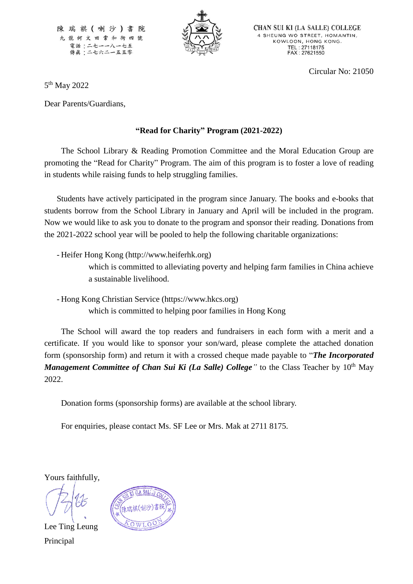陳瑞祺(喇沙) 九龍何文田常和街四 號 電話:二七一一八一七五 傳眞:二七六二一五五零



**CHAN SUI KI (LA SALLE) COLLEGE** 4 SHEUNG WO STREET, HOMANTIN, KOWLOON, HONG KONG. TEL: 27118175<br>FAX: 27621550

Circular No: 21050

5<sup>th</sup> May 2022

Dear Parents/Guardians,

## **"Read for Charity" Program (2021-2022)**

The School Library & Reading Promotion Committee and the Moral Education Group are promoting the "Read for Charity" Program. The aim of this program is to foster a love of reading in students while raising funds to help struggling families.

Students have actively participated in the program since January. The books and e-books that students borrow from the School Library in January and April will be included in the program. Now we would like to ask you to donate to the program and sponsor their reading. Donations from the 2021-2022 school year will be pooled to help the following charitable organizations:

- Heifer Hong Kong (http://www.heiferhk.org) which is committed to alleviating poverty and helping farm families in China achieve a sustainable livelihood.
- Hong Kong Christian Service (https://www.hkcs.org) which is committed to helping poor families in Hong Kong

The School will award the top readers and fundraisers in each form with a merit and a certificate. If you would like to sponsor your son/ward, please complete the attached donation form (sponsorship form) and return it with a crossed cheque made payable to "*The Incorporated Management Committee of Chan Sui Ki (La Salle) College*<sup>*"*</sup> to the Class Teacher by 10<sup>th</sup> May 2022.

Donation forms (sponsorship forms) are available at the school library.

For enquiries, please contact Ms. SF Lee or Mrs. Mak at 2711 8175.

Yours faithfully,

Lee Ting Leung Principal

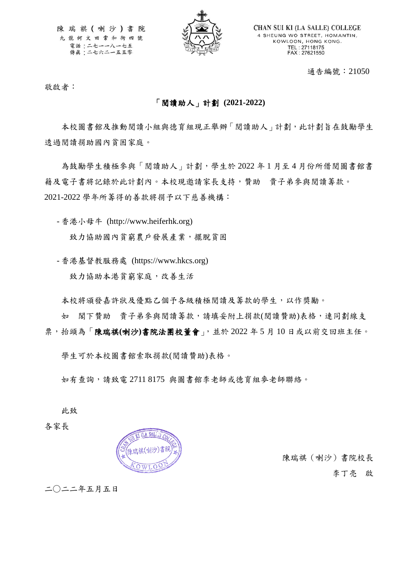陳瑞祺(喇沙)書院 九龍何文田常和街四號 電話:二七一一八一七五 傳眞:二七六二一五五零



**CHAN SUI KI (LA SALLE) COLLEGE** 4 SHEUNG WO STREET, HOMANTIN, KOWLOON, HONG KONG. TEL: 27118175<br>FAX: 27621550

通告編號:21050

敬啟者:

## 「閱讀助人」計劃 **(2021-2022)**

本校圖書館及推動閱讀小組與德育組現正舉辦「閱讀助人」計劃,此計劃旨在鼓勵學生 透過閱讀捐助國內貧困家庭。

為鼓勵學生積極參與「閱讀助人」計劃,學生於 2022 年1月至4月份所借閱圖書館書 籍及電子書將記錄於此計劃內。本校現邀請家長支持,贊助 貴子弟參與閱讀籌款。 2021-2022 學年所籌得的善款將捐予以下慈善機構:

- 香港小母牛 (http://www.heiferhk.org) 致力協助國內貧窮農戶發展產業,擺脫貧困

- 香港基督教服務處 (https://www.hkcs.org) 致力協助本港貧窮家庭,改善生活

本校將頒發嘉許狀及優點乙個予各級積極閱讀及籌款的學生,以作獎勵。

如 閣下贊助 貴子弟參與閱讀籌款,請填妥附上捐款(閱讀贊助)表格,連同劃線支 票,抬頭為「陳瑞祺**(**喇沙**)**書院法團校董會」,並於 2022 年 5 月 10 日或以前交回班主任。

學生可於本校圖書館索取捐款(閱讀贊助)表格。

如有查詢,請致電 2711 8175 與圖書館李老師或德育組麥老師聯絡。

此致

各家長



陳瑞祺(喇沙)書院校長 李丁亮 啟

二○二二年五月五日